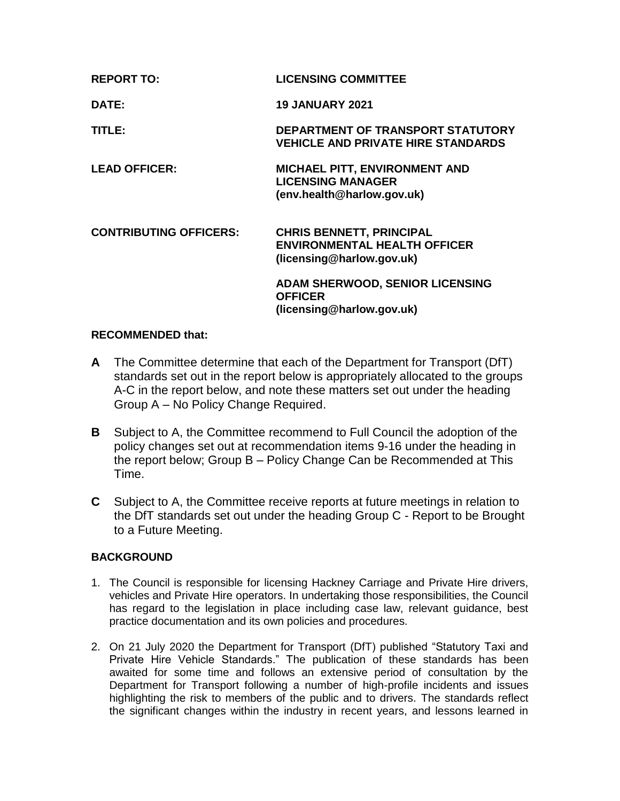| <b>REPORT TO:</b>             | <b>LICENSING COMMITTEE</b>                                                                          |
|-------------------------------|-----------------------------------------------------------------------------------------------------|
| DATE:                         | <b>19 JANUARY 2021</b>                                                                              |
| <b>TITLE:</b>                 | DEPARTMENT OF TRANSPORT STATUTORY<br><b>VEHICLE AND PRIVATE HIRE STANDARDS</b>                      |
| <b>LEAD OFFICER:</b>          | <b>MICHAEL PITT, ENVIRONMENT AND</b><br><b>LICENSING MANAGER</b><br>(env.health@harlow.gov.uk)      |
| <b>CONTRIBUTING OFFICERS:</b> | <b>CHRIS BENNETT, PRINCIPAL</b><br><b>ENVIRONMENTAL HEALTH OFFICER</b><br>(licensing@harlow.gov.uk) |
|                               | <b>ADAM SHERWOOD, SENIOR LICENSING</b><br><b>OFFICER</b><br>(licensing@harlow.gov.uk)               |

#### **RECOMMENDED that:**

- **A** The Committee determine that each of the Department for Transport (DfT) standards set out in the report below is appropriately allocated to the groups A-C in the report below, and note these matters set out under the heading Group A – No Policy Change Required.
- **B** Subject to A, the Committee recommend to Full Council the adoption of the policy changes set out at recommendation items 9-16 under the heading in the report below; Group B – Policy Change Can be Recommended at This Time.
- **C** Subject to A, the Committee receive reports at future meetings in relation to the DfT standards set out under the heading Group C - Report to be Brought to a Future Meeting.

#### **BACKGROUND**

- 1. The Council is responsible for licensing Hackney Carriage and Private Hire drivers, vehicles and Private Hire operators. In undertaking those responsibilities, the Council has regard to the legislation in place including case law, relevant guidance, best practice documentation and its own policies and procedures.
- 2. On 21 July 2020 the Department for Transport (DfT) published "Statutory Taxi and Private Hire Vehicle Standards." The publication of these standards has been awaited for some time and follows an extensive period of consultation by the Department for Transport following a number of high-profile incidents and issues highlighting the risk to members of the public and to drivers. The standards reflect the significant changes within the industry in recent years, and lessons learned in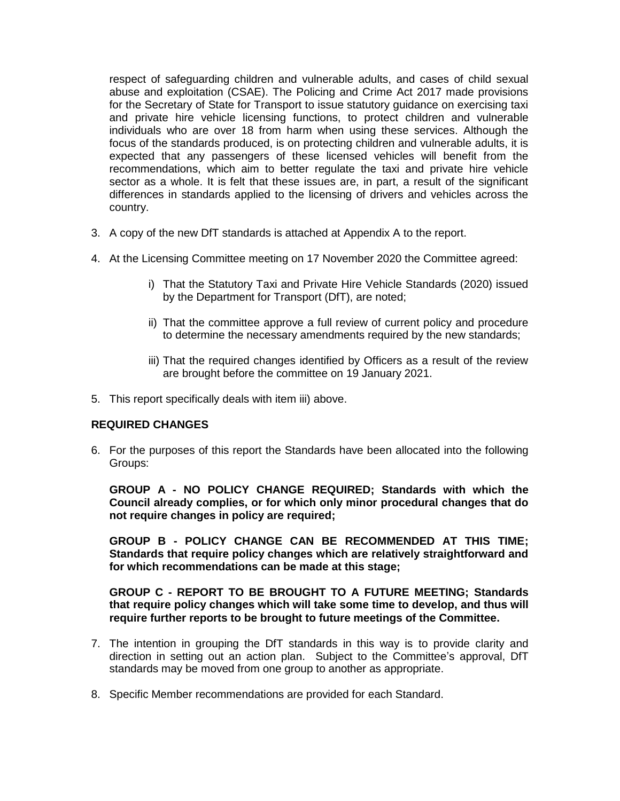respect of safeguarding children and vulnerable adults, and cases of child sexual abuse and exploitation (CSAE). The Policing and Crime Act 2017 made provisions for the Secretary of State for Transport to issue statutory guidance on exercising taxi and private hire vehicle licensing functions, to protect children and vulnerable individuals who are over 18 from harm when using these services. Although the focus of the standards produced, is on protecting children and vulnerable adults, it is expected that any passengers of these licensed vehicles will benefit from the recommendations, which aim to better regulate the taxi and private hire vehicle sector as a whole. It is felt that these issues are, in part, a result of the significant differences in standards applied to the licensing of drivers and vehicles across the country.

- 3. A copy of the new DfT standards is attached at Appendix A to the report.
- 4. At the Licensing Committee meeting on 17 November 2020 the Committee agreed:
	- i) That the Statutory Taxi and Private Hire Vehicle Standards (2020) issued by the Department for Transport (DfT), are noted;
	- ii) That the committee approve a full review of current policy and procedure to determine the necessary amendments required by the new standards;
	- iii) That the required changes identified by Officers as a result of the review are brought before the committee on 19 January 2021.
- 5. This report specifically deals with item iii) above.

#### **REQUIRED CHANGES**

6. For the purposes of this report the Standards have been allocated into the following Groups:

**GROUP A - NO POLICY CHANGE REQUIRED; Standards with which the Council already complies, or for which only minor procedural changes that do not require changes in policy are required;**

**GROUP B - POLICY CHANGE CAN BE RECOMMENDED AT THIS TIME; Standards that require policy changes which are relatively straightforward and for which recommendations can be made at this stage;**

**GROUP C - REPORT TO BE BROUGHT TO A FUTURE MEETING; Standards that require policy changes which will take some time to develop, and thus will require further reports to be brought to future meetings of the Committee.**

- 7. The intention in grouping the DfT standards in this way is to provide clarity and direction in setting out an action plan. Subject to the Committee's approval, DfT standards may be moved from one group to another as appropriate.
- 8. Specific Member recommendations are provided for each Standard.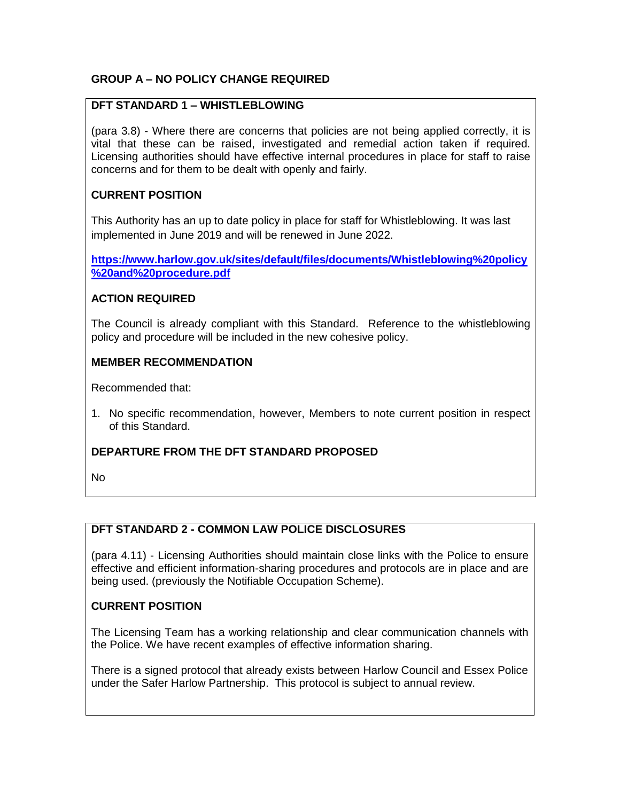### **GROUP A – NO POLICY CHANGE REQUIRED**

#### **DFT STANDARD 1 – WHISTLEBLOWING**

(para 3.8) - Where there are concerns that policies are not being applied correctly, it is vital that these can be raised, investigated and remedial action taken if required. Licensing authorities should have effective internal procedures in place for staff to raise concerns and for them to be dealt with openly and fairly.

#### **CURRENT POSITION**

This Authority has an up to date policy in place for staff for Whistleblowing. It was last implemented in June 2019 and will be renewed in June 2022.

**[https://www.harlow.gov.uk/sites/default/files/documents/Whistleblowing%20policy](https://www.harlow.gov.uk/sites/default/files/documents/Whistleblowing%20policy%20and%20procedure.pdf) [%20and%20procedure.pdf](https://www.harlow.gov.uk/sites/default/files/documents/Whistleblowing%20policy%20and%20procedure.pdf)**

#### **ACTION REQUIRED**

The Council is already compliant with this Standard. Reference to the whistleblowing policy and procedure will be included in the new cohesive policy.

#### **MEMBER RECOMMENDATION**

Recommended that:

1. No specific recommendation, however, Members to note current position in respect of this Standard.

#### **DEPARTURE FROM THE DFT STANDARD PROPOSED**

No

#### **DFT STANDARD 2 - COMMON LAW POLICE DISCLOSURES**

(para 4.11) - Licensing Authorities should maintain close links with the Police to ensure effective and efficient information-sharing procedures and protocols are in place and are being used. (previously the Notifiable Occupation Scheme).

#### **CURRENT POSITION**

The Licensing Team has a working relationship and clear communication channels with the Police. We have recent examples of effective information sharing.

There is a signed protocol that already exists between Harlow Council and Essex Police under the Safer Harlow Partnership. This protocol is subject to annual review.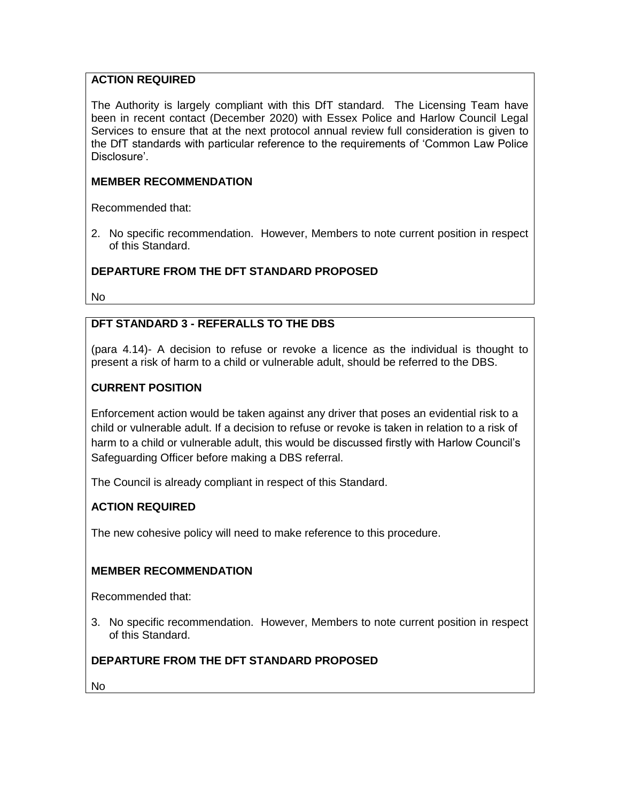### **ACTION REQUIRED**

The Authority is largely compliant with this DfT standard. The Licensing Team have been in recent contact (December 2020) with Essex Police and Harlow Council Legal Services to ensure that at the next protocol annual review full consideration is given to the DfT standards with particular reference to the requirements of 'Common Law Police Disclosure'.

### **MEMBER RECOMMENDATION**

Recommended that:

2. No specific recommendation. However, Members to note current position in respect of this Standard.

## **DEPARTURE FROM THE DFT STANDARD PROPOSED**

No

# **DFT STANDARD 3 - REFERALLS TO THE DBS**

(para 4.14)- A decision to refuse or revoke a licence as the individual is thought to present a risk of harm to a child or vulnerable adult, should be referred to the DBS.

## **CURRENT POSITION**

Enforcement action would be taken against any driver that poses an evidential risk to a child or vulnerable adult. If a decision to refuse or revoke is taken in relation to a risk of harm to a child or vulnerable adult, this would be discussed firstly with Harlow Council's Safeguarding Officer before making a DBS referral.

The Council is already compliant in respect of this Standard.

### **ACTION REQUIRED**

The new cohesive policy will need to make reference to this procedure.

### **MEMBER RECOMMENDATION**

Recommended that:

3. No specific recommendation. However, Members to note current position in respect of this Standard.

### **DEPARTURE FROM THE DFT STANDARD PROPOSED**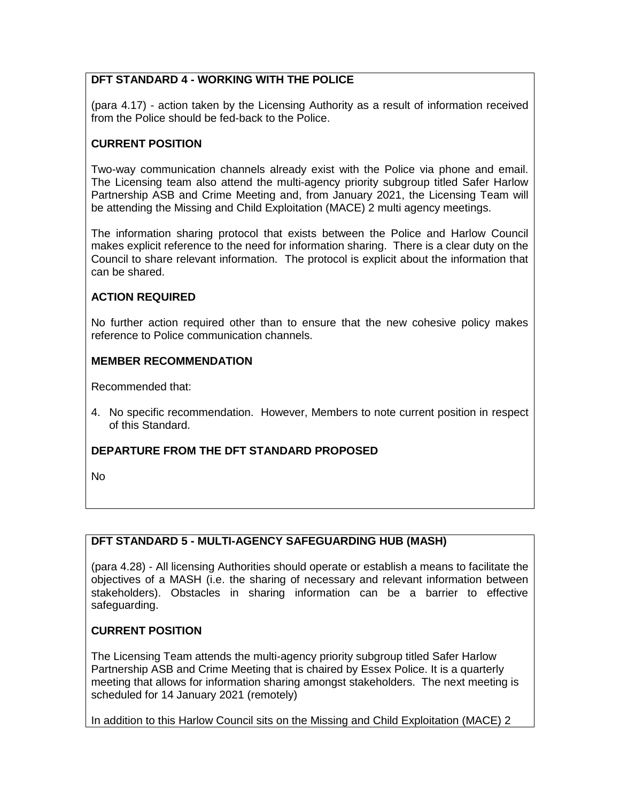## **DFT STANDARD 4 - WORKING WITH THE POLICE**

(para 4.17) - action taken by the Licensing Authority as a result of information received from the Police should be fed-back to the Police.

### **CURRENT POSITION**

Two-way communication channels already exist with the Police via phone and email. The Licensing team also attend the multi-agency priority subgroup titled Safer Harlow Partnership ASB and Crime Meeting and, from January 2021, the Licensing Team will be attending the Missing and Child Exploitation (MACE) 2 multi agency meetings.

The information sharing protocol that exists between the Police and Harlow Council makes explicit reference to the need for information sharing. There is a clear duty on the Council to share relevant information. The protocol is explicit about the information that can be shared.

### **ACTION REQUIRED**

No further action required other than to ensure that the new cohesive policy makes reference to Police communication channels.

#### **MEMBER RECOMMENDATION**

Recommended that:

4. No specific recommendation. However, Members to note current position in respect of this Standard.

### **DEPARTURE FROM THE DFT STANDARD PROPOSED**

No

### **DFT STANDARD 5 - MULTI-AGENCY SAFEGUARDING HUB (MASH)**

(para 4.28) - All licensing Authorities should operate or establish a means to facilitate the objectives of a MASH (i.e. the sharing of necessary and relevant information between stakeholders). Obstacles in sharing information can be a barrier to effective safeguarding.

### **CURRENT POSITION**

The Licensing Team attends the multi-agency priority subgroup titled Safer Harlow Partnership ASB and Crime Meeting that is chaired by Essex Police. It is a quarterly meeting that allows for information sharing amongst stakeholders. The next meeting is scheduled for 14 January 2021 (remotely)

In addition to this Harlow Council sits on the Missing and Child Exploitation (MACE) 2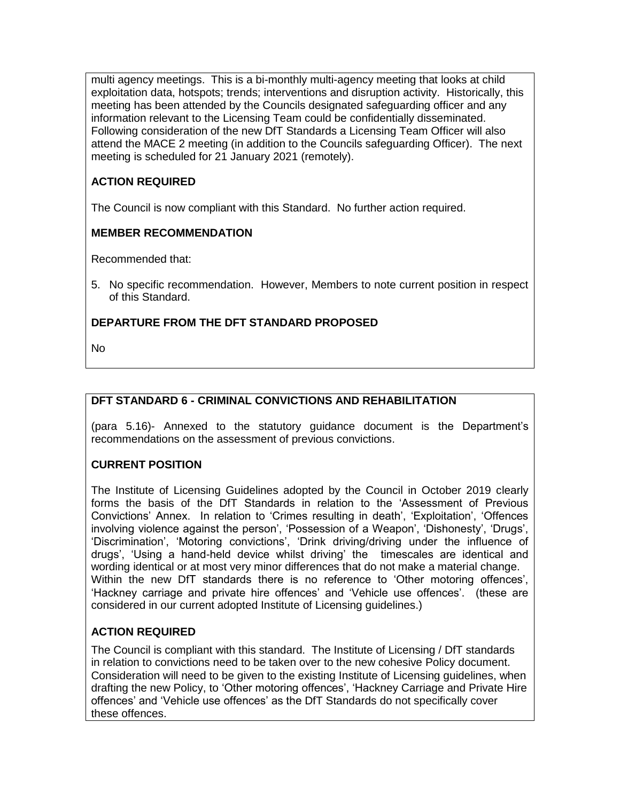multi agency meetings. This is a bi-monthly multi-agency meeting that looks at child exploitation data, hotspots; trends; interventions and disruption activity. Historically, this meeting has been attended by the Councils designated safeguarding officer and any information relevant to the Licensing Team could be confidentially disseminated. Following consideration of the new DfT Standards a Licensing Team Officer will also attend the MACE 2 meeting (in addition to the Councils safeguarding Officer). The next meeting is scheduled for 21 January 2021 (remotely).

# **ACTION REQUIRED**

The Council is now compliant with this Standard. No further action required.

# **MEMBER RECOMMENDATION**

Recommended that:

5. No specific recommendation. However, Members to note current position in respect of this Standard.

# **DEPARTURE FROM THE DFT STANDARD PROPOSED**

No

# **DFT STANDARD 6 - CRIMINAL CONVICTIONS AND REHABILITATION**

(para 5.16)- Annexed to the statutory guidance document is the Department's recommendations on the assessment of previous convictions.

# **CURRENT POSITION**

The Institute of Licensing Guidelines adopted by the Council in October 2019 clearly forms the basis of the DfT Standards in relation to the 'Assessment of Previous Convictions' Annex. In relation to 'Crimes resulting in death', 'Exploitation', 'Offences involving violence against the person', 'Possession of a Weapon', 'Dishonesty', 'Drugs', 'Discrimination', 'Motoring convictions', 'Drink driving/driving under the influence of drugs', 'Using a hand-held device whilst driving' the timescales are identical and wording identical or at most very minor differences that do not make a material change. Within the new DfT standards there is no reference to 'Other motoring offences', 'Hackney carriage and private hire offences' and 'Vehicle use offences'. (these are considered in our current adopted Institute of Licensing guidelines.)

# **ACTION REQUIRED**

The Council is compliant with this standard. The Institute of Licensing / DfT standards in relation to convictions need to be taken over to the new cohesive Policy document. Consideration will need to be given to the existing Institute of Licensing guidelines, when drafting the new Policy, to 'Other motoring offences', 'Hackney Carriage and Private Hire offences' and 'Vehicle use offences' as the DfT Standards do not specifically cover these offences.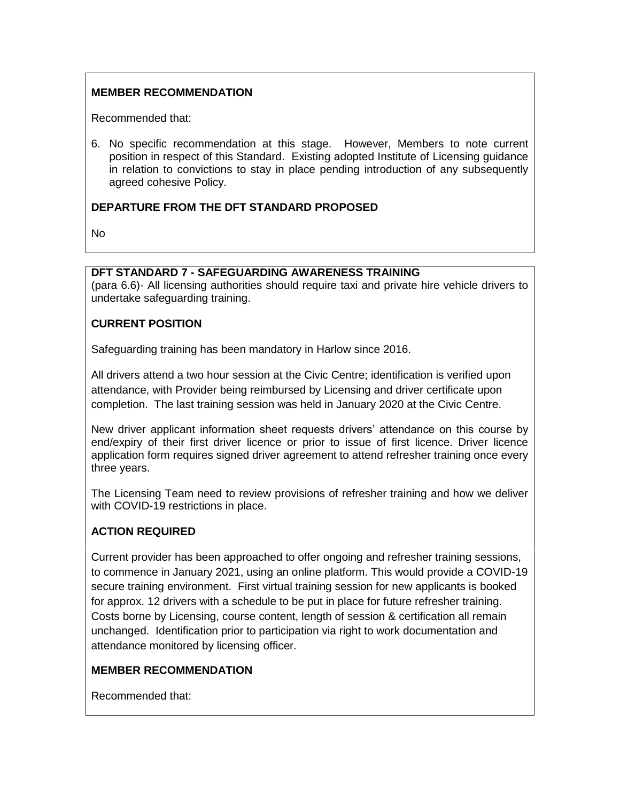### **MEMBER RECOMMENDATION**

Recommended that:

6. No specific recommendation at this stage. However, Members to note current position in respect of this Standard. Existing adopted Institute of Licensing guidance in relation to convictions to stay in place pending introduction of any subsequently agreed cohesive Policy.

#### **DEPARTURE FROM THE DFT STANDARD PROPOSED**

No

#### **DFT STANDARD 7 - SAFEGUARDING AWARENESS TRAINING**

(para 6.6)- All licensing authorities should require taxi and private hire vehicle drivers to undertake safeguarding training.

#### **CURRENT POSITION**

Safeguarding training has been mandatory in Harlow since 2016.

All drivers attend a two hour session at the Civic Centre; identification is verified upon attendance, with Provider being reimbursed by Licensing and driver certificate upon completion. The last training session was held in January 2020 at the Civic Centre.

New driver applicant information sheet requests drivers' attendance on this course by end/expiry of their first driver licence or prior to issue of first licence. Driver licence application form requires signed driver agreement to attend refresher training once every three years.

The Licensing Team need to review provisions of refresher training and how we deliver with COVID-19 restrictions in place.

### **ACTION REQUIRED**

Current provider has been approached to offer ongoing and refresher training sessions, to commence in January 2021, using an online platform. This would provide a COVID-19 secure training environment. First virtual training session for new applicants is booked for approx. 12 drivers with a schedule to be put in place for future refresher training. Costs borne by Licensing, course content, length of session & certification all remain unchanged. Identification prior to participation via right to work documentation and attendance monitored by licensing officer.

### **MEMBER RECOMMENDATION**

Recommended that: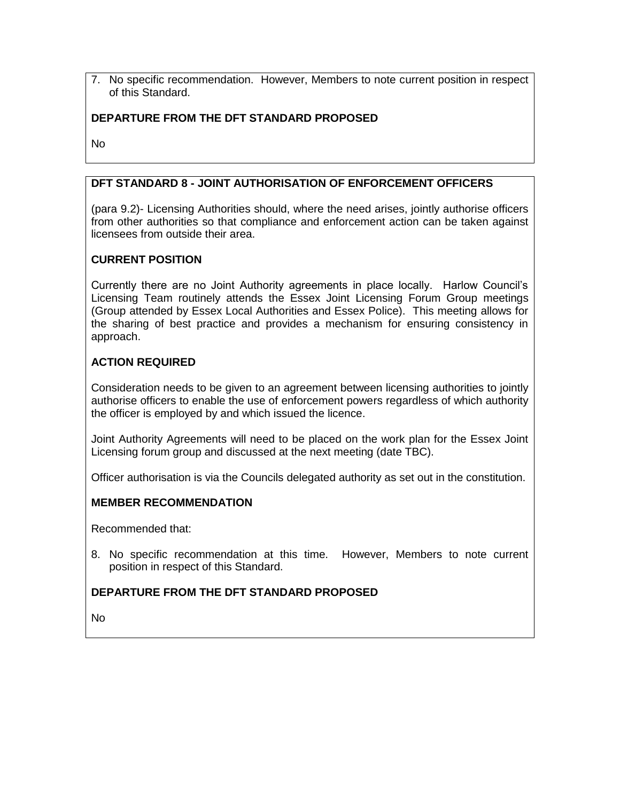7. No specific recommendation. However, Members to note current position in respect of this Standard.

### **DEPARTURE FROM THE DFT STANDARD PROPOSED**

No

### **DFT STANDARD 8 - JOINT AUTHORISATION OF ENFORCEMENT OFFICERS**

(para 9.2)- Licensing Authorities should, where the need arises, jointly authorise officers from other authorities so that compliance and enforcement action can be taken against licensees from outside their area.

### **CURRENT POSITION**

Currently there are no Joint Authority agreements in place locally. Harlow Council's Licensing Team routinely attends the Essex Joint Licensing Forum Group meetings (Group attended by Essex Local Authorities and Essex Police). This meeting allows for the sharing of best practice and provides a mechanism for ensuring consistency in approach.

### **ACTION REQUIRED**

Consideration needs to be given to an agreement between licensing authorities to jointly authorise officers to enable the use of enforcement powers regardless of which authority the officer is employed by and which issued the licence.

Joint Authority Agreements will need to be placed on the work plan for the Essex Joint Licensing forum group and discussed at the next meeting (date TBC).

Officer authorisation is via the Councils delegated authority as set out in the constitution.

#### **MEMBER RECOMMENDATION**

Recommended that:

8. No specific recommendation at this time. However, Members to note current position in respect of this Standard.

### **DEPARTURE FROM THE DFT STANDARD PROPOSED**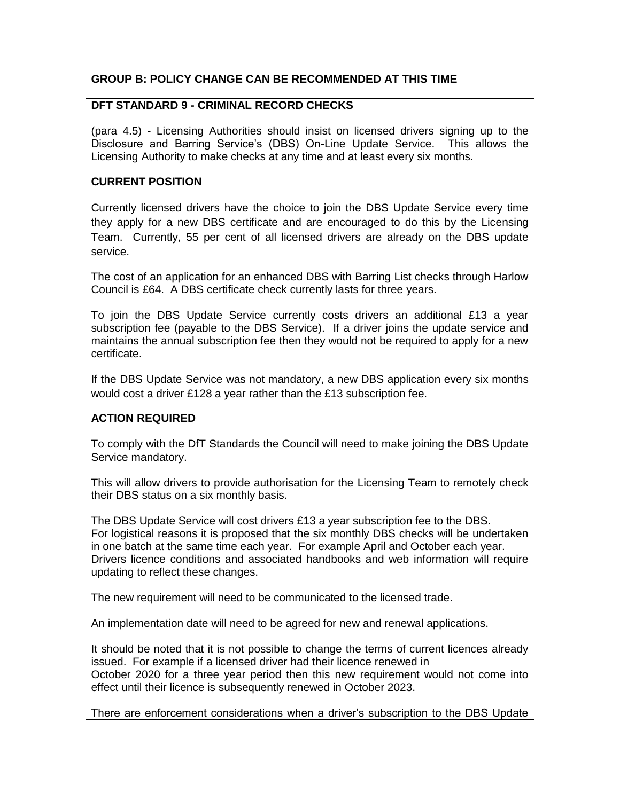#### **GROUP B: POLICY CHANGE CAN BE RECOMMENDED AT THIS TIME**

#### **DFT STANDARD 9 - CRIMINAL RECORD CHECKS**

(para 4.5) - Licensing Authorities should insist on licensed drivers signing up to the Disclosure and Barring Service's (DBS) On-Line Update Service. This allows the Licensing Authority to make checks at any time and at least every six months.

### **CURRENT POSITION**

Currently licensed drivers have the choice to join the DBS Update Service every time they apply for a new DBS certificate and are encouraged to do this by the Licensing Team. Currently, 55 per cent of all licensed drivers are already on the DBS update service.

The cost of an application for an enhanced DBS with Barring List checks through Harlow Council is £64. A DBS certificate check currently lasts for three years.

To join the DBS Update Service currently costs drivers an additional £13 a year subscription fee (payable to the DBS Service). If a driver joins the update service and maintains the annual subscription fee then they would not be required to apply for a new certificate.

If the DBS Update Service was not mandatory, a new DBS application every six months would cost a driver £128 a year rather than the £13 subscription fee.

### **ACTION REQUIRED**

To comply with the DfT Standards the Council will need to make joining the DBS Update Service mandatory.

This will allow drivers to provide authorisation for the Licensing Team to remotely check their DBS status on a six monthly basis.

The DBS Update Service will cost drivers £13 a year subscription fee to the DBS. For logistical reasons it is proposed that the six monthly DBS checks will be undertaken in one batch at the same time each year. For example April and October each year. Drivers licence conditions and associated handbooks and web information will require updating to reflect these changes.

The new requirement will need to be communicated to the licensed trade.

An implementation date will need to be agreed for new and renewal applications.

It should be noted that it is not possible to change the terms of current licences already issued. For example if a licensed driver had their licence renewed in October 2020 for a three year period then this new requirement would not come into effect until their licence is subsequently renewed in October 2023.

There are enforcement considerations when a driver's subscription to the DBS Update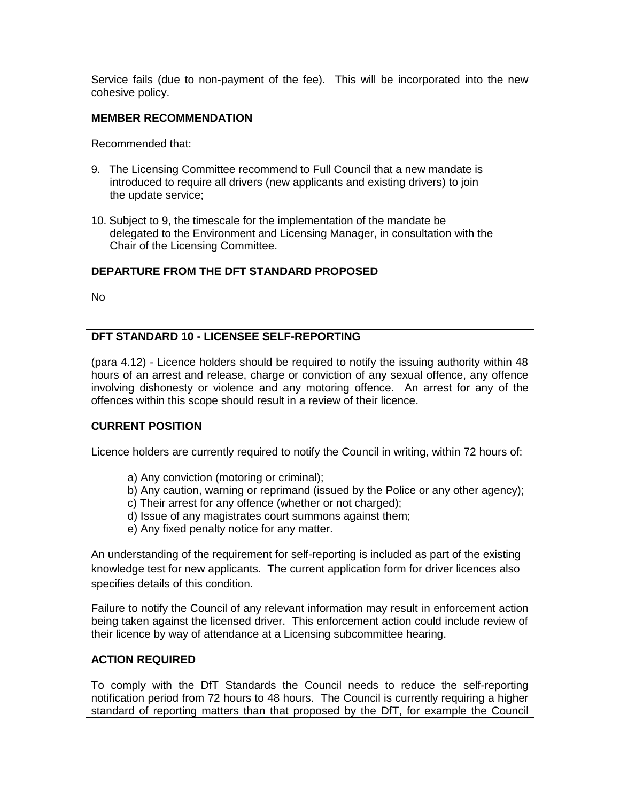Service fails (due to non-payment of the fee). This will be incorporated into the new cohesive policy.

### **MEMBER RECOMMENDATION**

Recommended that:

- 9. The Licensing Committee recommend to Full Council that a new mandate is introduced to require all drivers (new applicants and existing drivers) to join the update service;
- 10. Subject to 9, the timescale for the implementation of the mandate be delegated to the Environment and Licensing Manager, in consultation with the Chair of the Licensing Committee.

## **DEPARTURE FROM THE DFT STANDARD PROPOSED**

No

### **DFT STANDARD 10 - LICENSEE SELF-REPORTING**

(para 4.12) - Licence holders should be required to notify the issuing authority within 48 hours of an arrest and release, charge or conviction of any sexual offence, any offence involving dishonesty or violence and any motoring offence. An arrest for any of the offences within this scope should result in a review of their licence.

# **CURRENT POSITION**

Licence holders are currently required to notify the Council in writing, within 72 hours of:

- a) Any conviction (motoring or criminal);
- b) Any caution, warning or reprimand (issued by the Police or any other agency);
- c) Their arrest for any offence (whether or not charged);
- d) Issue of any magistrates court summons against them;
- e) Any fixed penalty notice for any matter.

An understanding of the requirement for self-reporting is included as part of the existing knowledge test for new applicants. The current application form for driver licences also specifies details of this condition.

Failure to notify the Council of any relevant information may result in enforcement action being taken against the licensed driver. This enforcement action could include review of their licence by way of attendance at a Licensing subcommittee hearing.

### **ACTION REQUIRED**

To comply with the DfT Standards the Council needs to reduce the self-reporting notification period from 72 hours to 48 hours. The Council is currently requiring a higher standard of reporting matters than that proposed by the DfT, for example the Council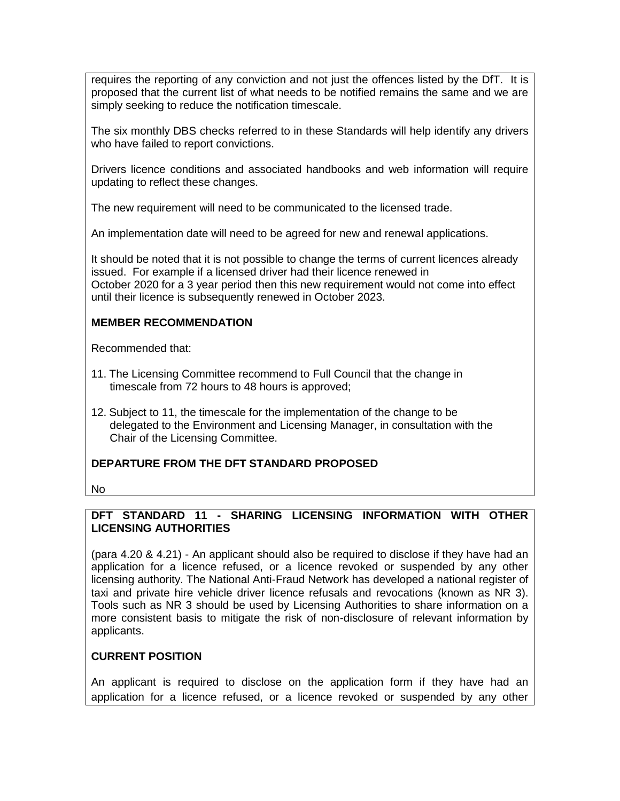requires the reporting of any conviction and not just the offences listed by the DfT. It is proposed that the current list of what needs to be notified remains the same and we are simply seeking to reduce the notification timescale.

The six monthly DBS checks referred to in these Standards will help identify any drivers who have failed to report convictions.

Drivers licence conditions and associated handbooks and web information will require updating to reflect these changes.

The new requirement will need to be communicated to the licensed trade.

An implementation date will need to be agreed for new and renewal applications.

It should be noted that it is not possible to change the terms of current licences already issued. For example if a licensed driver had their licence renewed in October 2020 for a 3 year period then this new requirement would not come into effect until their licence is subsequently renewed in October 2023.

### **MEMBER RECOMMENDATION**

Recommended that:

- 11. The Licensing Committee recommend to Full Council that the change in timescale from 72 hours to 48 hours is approved;
- 12. Subject to 11, the timescale for the implementation of the change to be delegated to the Environment and Licensing Manager, in consultation with the Chair of the Licensing Committee.

### **DEPARTURE FROM THE DFT STANDARD PROPOSED**

No

### **DFT STANDARD 11 - SHARING LICENSING INFORMATION WITH OTHER LICENSING AUTHORITIES**

(para 4.20 & 4.21) - An applicant should also be required to disclose if they have had an application for a licence refused, or a licence revoked or suspended by any other licensing authority. The National Anti-Fraud Network has developed a national register of taxi and private hire vehicle driver licence refusals and revocations (known as NR 3). Tools such as NR 3 should be used by Licensing Authorities to share information on a more consistent basis to mitigate the risk of non-disclosure of relevant information by applicants.

### **CURRENT POSITION**

An applicant is required to disclose on the application form if they have had an application for a licence refused, or a licence revoked or suspended by any other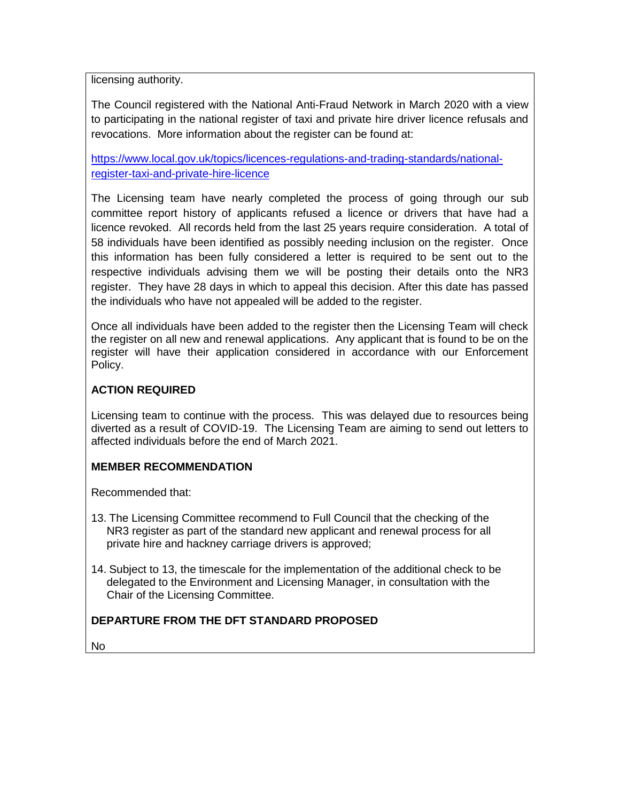licensing authority.

The Council registered with the National Anti-Fraud Network in March 2020 with a view to participating in the national register of taxi and private hire driver licence refusals and revocations. More information about the register can be found at:

[https://www.local.gov.uk/topics/licences-regulations-and-trading-standards/national](https://www.local.gov.uk/topics/licences-regulations-and-trading-standards/national-register-taxi-and-private-hire-licence)[register-taxi-and-private-hire-licence](https://www.local.gov.uk/topics/licences-regulations-and-trading-standards/national-register-taxi-and-private-hire-licence)

The Licensing team have nearly completed the process of going through our sub committee report history of applicants refused a licence or drivers that have had a licence revoked. All records held from the last 25 years require consideration. A total of 58 individuals have been identified as possibly needing inclusion on the register. Once this information has been fully considered a letter is required to be sent out to the respective individuals advising them we will be posting their details onto the NR3 register. They have 28 days in which to appeal this decision. After this date has passed the individuals who have not appealed will be added to the register.

Once all individuals have been added to the register then the Licensing Team will check the register on all new and renewal applications. Any applicant that is found to be on the register will have their application considered in accordance with our Enforcement Policy.

### **ACTION REQUIRED**

Licensing team to continue with the process. This was delayed due to resources being diverted as a result of COVID-19. The Licensing Team are aiming to send out letters to affected individuals before the end of March 2021.

### **MEMBER RECOMMENDATION**

Recommended that:

- 13. The Licensing Committee recommend to Full Council that the checking of the NR3 register as part of the standard new applicant and renewal process for all private hire and hackney carriage drivers is approved;
- 14. Subject to 13, the timescale for the implementation of the additional check to be delegated to the Environment and Licensing Manager, in consultation with the Chair of the Licensing Committee.

# **DEPARTURE FROM THE DFT STANDARD PROPOSED**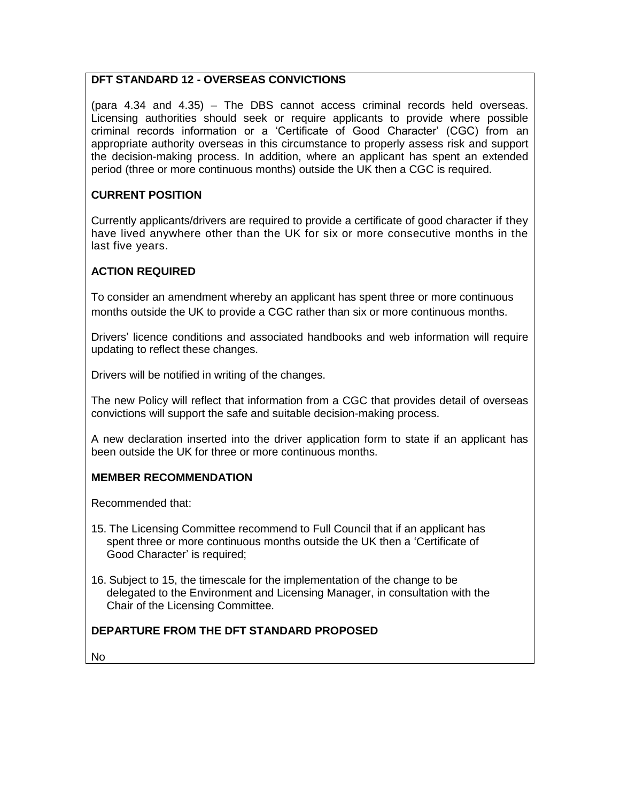### **DFT STANDARD 12 - OVERSEAS CONVICTIONS**

(para 4.34 and 4.35) – The DBS cannot access criminal records held overseas. Licensing authorities should seek or require applicants to provide where possible criminal records information or a 'Certificate of Good Character' (CGC) from an appropriate authority overseas in this circumstance to properly assess risk and support the decision-making process. In addition, where an applicant has spent an extended period (three or more continuous months) outside the UK then a CGC is required.

### **CURRENT POSITION**

Currently applicants/drivers are required to provide a certificate of good character if they have lived anywhere other than the UK for six or more consecutive months in the last five years.

#### **ACTION REQUIRED**

To consider an amendment whereby an applicant has spent three or more continuous months outside the UK to provide a CGC rather than six or more continuous months.

Drivers' licence conditions and associated handbooks and web information will require updating to reflect these changes.

Drivers will be notified in writing of the changes.

The new Policy will reflect that information from a CGC that provides detail of overseas convictions will support the safe and suitable decision-making process.

A new declaration inserted into the driver application form to state if an applicant has been outside the UK for three or more continuous months.

#### **MEMBER RECOMMENDATION**

Recommended that:

- 15. The Licensing Committee recommend to Full Council that if an applicant has spent three or more continuous months outside the UK then a 'Certificate of Good Character' is required;
- 16. Subject to 15, the timescale for the implementation of the change to be delegated to the Environment and Licensing Manager, in consultation with the Chair of the Licensing Committee.

### **DEPARTURE FROM THE DFT STANDARD PROPOSED**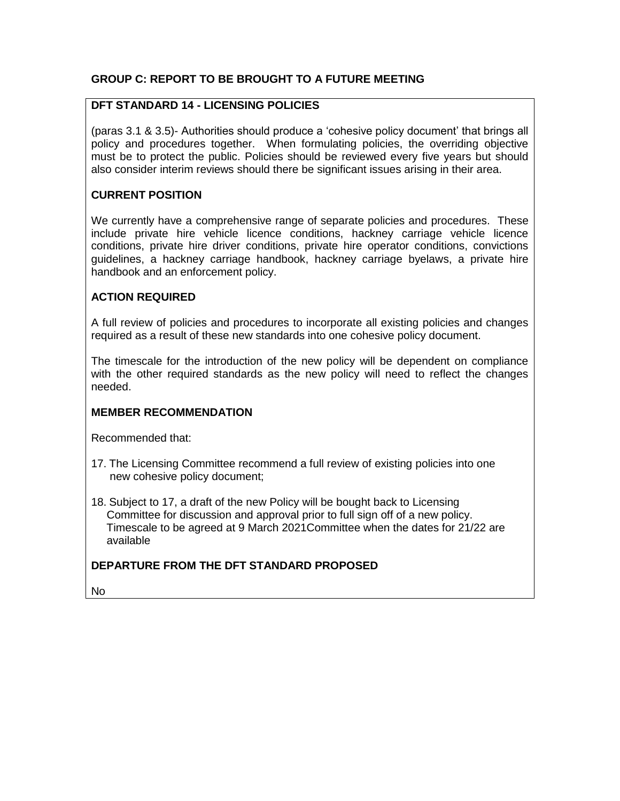### **GROUP C: REPORT TO BE BROUGHT TO A FUTURE MEETING**

#### **DFT STANDARD 14 - LICENSING POLICIES**

(paras 3.1 & 3.5)- Authorities should produce a 'cohesive policy document' that brings all policy and procedures together. When formulating policies, the overriding objective must be to protect the public. Policies should be reviewed every five years but should also consider interim reviews should there be significant issues arising in their area.

#### **CURRENT POSITION**

We currently have a comprehensive range of separate policies and procedures. These include private hire vehicle licence conditions, hackney carriage vehicle licence conditions, private hire driver conditions, private hire operator conditions, convictions guidelines, a hackney carriage handbook, hackney carriage byelaws, a private hire handbook and an enforcement policy.

#### **ACTION REQUIRED**

A full review of policies and procedures to incorporate all existing policies and changes required as a result of these new standards into one cohesive policy document.

The timescale for the introduction of the new policy will be dependent on compliance with the other required standards as the new policy will need to reflect the changes needed.

#### **MEMBER RECOMMENDATION**

Recommended that:

- 17. The Licensing Committee recommend a full review of existing policies into one new cohesive policy document;
- 18. Subject to 17, a draft of the new Policy will be bought back to Licensing Committee for discussion and approval prior to full sign off of a new policy. Timescale to be agreed at 9 March 2021Committee when the dates for 21/22 are available

### **DEPARTURE FROM THE DFT STANDARD PROPOSED**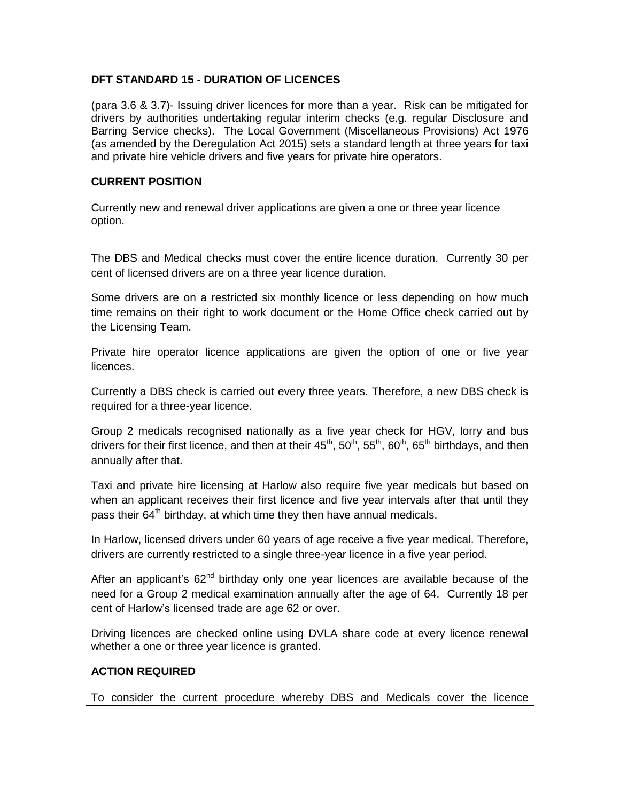### **DFT STANDARD 15 - DURATION OF LICENCES**

(para 3.6 & 3.7)- Issuing driver licences for more than a year. Risk can be mitigated for drivers by authorities undertaking regular interim checks (e.g. regular Disclosure and Barring Service checks). The Local Government (Miscellaneous Provisions) Act 1976 (as amended by the Deregulation Act 2015) sets a standard length at three years for taxi and private hire vehicle drivers and five years for private hire operators.

## **CURRENT POSITION**

Currently new and renewal driver applications are given a one or three year licence option.

The DBS and Medical checks must cover the entire licence duration. Currently 30 per cent of licensed drivers are on a three year licence duration.

Some drivers are on a restricted six monthly licence or less depending on how much time remains on their right to work document or the Home Office check carried out by the Licensing Team.

Private hire operator licence applications are given the option of one or five year licences.

Currently a DBS check is carried out every three years. Therefore, a new DBS check is required for a three-year licence.

Group 2 medicals recognised nationally as a five year check for HGV, lorry and bus drivers for their first licence, and then at their  $45<sup>th</sup>$ ,  $50<sup>th</sup>$ ,  $60<sup>th</sup>$ ,  $65<sup>th</sup>$  birthdays, and then annually after that.

Taxi and private hire licensing at Harlow also require five year medicals but based on when an applicant receives their first licence and five year intervals after that until they pass their  $64<sup>th</sup>$  birthday, at which time they then have annual medicals.

In Harlow, licensed drivers under 60 years of age receive a five year medical. Therefore, drivers are currently restricted to a single three-year licence in a five year period.

After an applicant's 62<sup>nd</sup> birthday only one year licences are available because of the need for a Group 2 medical examination annually after the age of 64. Currently 18 per cent of Harlow's licensed trade are age 62 or over.

Driving licences are checked online using DVLA share code at every licence renewal whether a one or three year licence is granted.

# **ACTION REQUIRED**

To consider the current procedure whereby DBS and Medicals cover the licence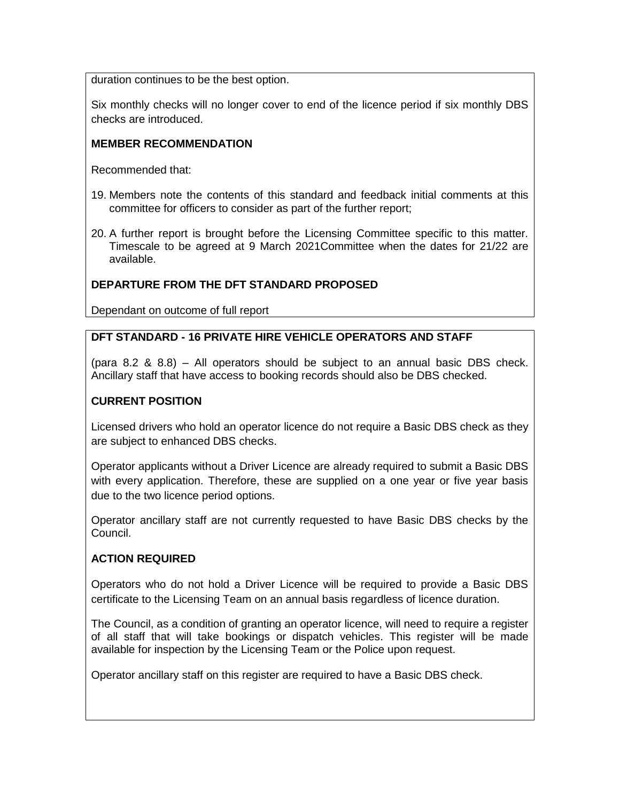duration continues to be the best option.

Six monthly checks will no longer cover to end of the licence period if six monthly DBS checks are introduced.

### **MEMBER RECOMMENDATION**

Recommended that:

- 19. Members note the contents of this standard and feedback initial comments at this committee for officers to consider as part of the further report;
- 20. A further report is brought before the Licensing Committee specific to this matter. Timescale to be agreed at 9 March 2021Committee when the dates for 21/22 are available.

### **DEPARTURE FROM THE DFT STANDARD PROPOSED**

Dependant on outcome of full report

# **DFT STANDARD - 16 PRIVATE HIRE VEHICLE OPERATORS AND STAFF**

(para 8.2 & 8.8) – All operators should be subject to an annual basic DBS check. Ancillary staff that have access to booking records should also be DBS checked.

### **CURRENT POSITION**

Licensed drivers who hold an operator licence do not require a Basic DBS check as they are subject to enhanced DBS checks.

Operator applicants without a Driver Licence are already required to submit a Basic DBS with every application. Therefore, these are supplied on a one year or five year basis due to the two licence period options.

Operator ancillary staff are not currently requested to have Basic DBS checks by the Council.

### **ACTION REQUIRED**

Operators who do not hold a Driver Licence will be required to provide a Basic DBS certificate to the Licensing Team on an annual basis regardless of licence duration.

The Council, as a condition of granting an operator licence, will need to require a register of all staff that will take bookings or dispatch vehicles. This register will be made available for inspection by the Licensing Team or the Police upon request.

Operator ancillary staff on this register are required to have a Basic DBS check.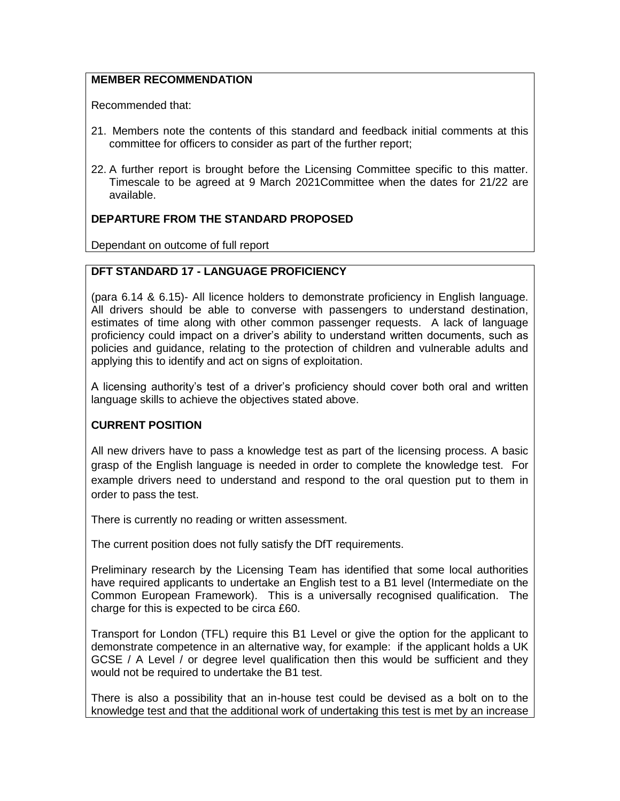#### **MEMBER RECOMMENDATION**

Recommended that:

- 21. Members note the contents of this standard and feedback initial comments at this committee for officers to consider as part of the further report;
- 22. A further report is brought before the Licensing Committee specific to this matter. Timescale to be agreed at 9 March 2021Committee when the dates for 21/22 are available.

#### **DEPARTURE FROM THE STANDARD PROPOSED**

Dependant on outcome of full report

#### **DFT STANDARD 17 - LANGUAGE PROFICIENCY**

(para 6.14 & 6.15)- All licence holders to demonstrate proficiency in English language. All drivers should be able to converse with passengers to understand destination, estimates of time along with other common passenger requests. A lack of language proficiency could impact on a driver's ability to understand written documents, such as policies and guidance, relating to the protection of children and vulnerable adults and applying this to identify and act on signs of exploitation.

A licensing authority's test of a driver's proficiency should cover both oral and written language skills to achieve the objectives stated above.

#### **CURRENT POSITION**

All new drivers have to pass a knowledge test as part of the licensing process. A basic grasp of the English language is needed in order to complete the knowledge test. For example drivers need to understand and respond to the oral question put to them in order to pass the test.

There is currently no reading or written assessment.

The current position does not fully satisfy the DfT requirements.

Preliminary research by the Licensing Team has identified that some local authorities have required applicants to undertake an English test to a B1 level (Intermediate on the Common European Framework). This is a universally recognised qualification. The charge for this is expected to be circa £60.

Transport for London (TFL) require this B1 Level or give the option for the applicant to demonstrate competence in an alternative way, for example: if the applicant holds a UK GCSE / A Level / or degree level qualification then this would be sufficient and they would not be required to undertake the B1 test.

There is also a possibility that an in-house test could be devised as a bolt on to the knowledge test and that the additional work of undertaking this test is met by an increase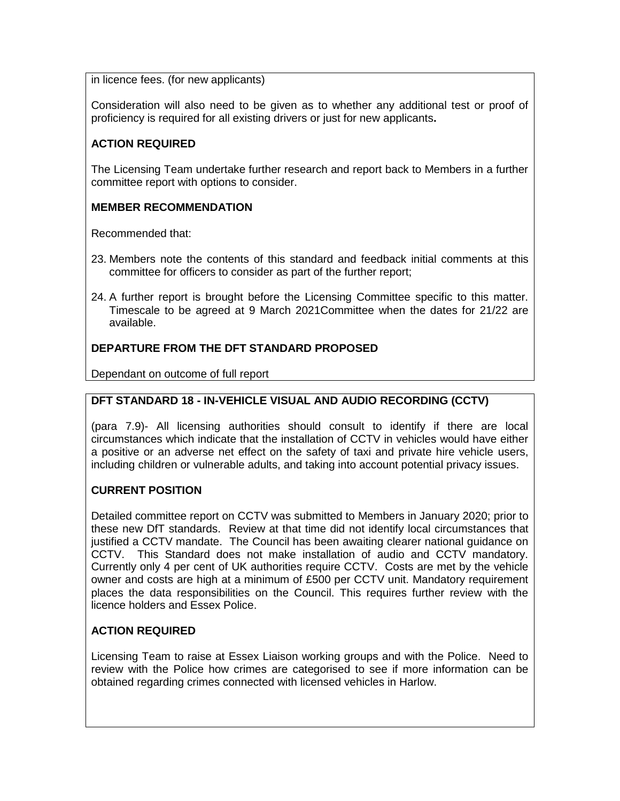in licence fees. (for new applicants)

Consideration will also need to be given as to whether any additional test or proof of proficiency is required for all existing drivers or just for new applicants**.**

#### **ACTION REQUIRED**

The Licensing Team undertake further research and report back to Members in a further committee report with options to consider.

#### **MEMBER RECOMMENDATION**

Recommended that:

- 23. Members note the contents of this standard and feedback initial comments at this committee for officers to consider as part of the further report;
- 24. A further report is brought before the Licensing Committee specific to this matter. Timescale to be agreed at 9 March 2021Committee when the dates for 21/22 are available.

### **DEPARTURE FROM THE DFT STANDARD PROPOSED**

Dependant on outcome of full report

#### **DFT STANDARD 18 - IN-VEHICLE VISUAL AND AUDIO RECORDING (CCTV)**

(para 7.9)- All licensing authorities should consult to identify if there are local circumstances which indicate that the installation of CCTV in vehicles would have either a positive or an adverse net effect on the safety of taxi and private hire vehicle users, including children or vulnerable adults, and taking into account potential privacy issues.

#### **CURRENT POSITION**

Detailed committee report on CCTV was submitted to Members in January 2020; prior to these new DfT standards. Review at that time did not identify local circumstances that justified a CCTV mandate. The Council has been awaiting clearer national guidance on CCTV. This Standard does not make installation of audio and CCTV mandatory. Currently only 4 per cent of UK authorities require CCTV. Costs are met by the vehicle owner and costs are high at a minimum of £500 per CCTV unit. Mandatory requirement places the data responsibilities on the Council. This requires further review with the licence holders and Essex Police.

#### **ACTION REQUIRED**

Licensing Team to raise at Essex Liaison working groups and with the Police. Need to review with the Police how crimes are categorised to see if more information can be obtained regarding crimes connected with licensed vehicles in Harlow.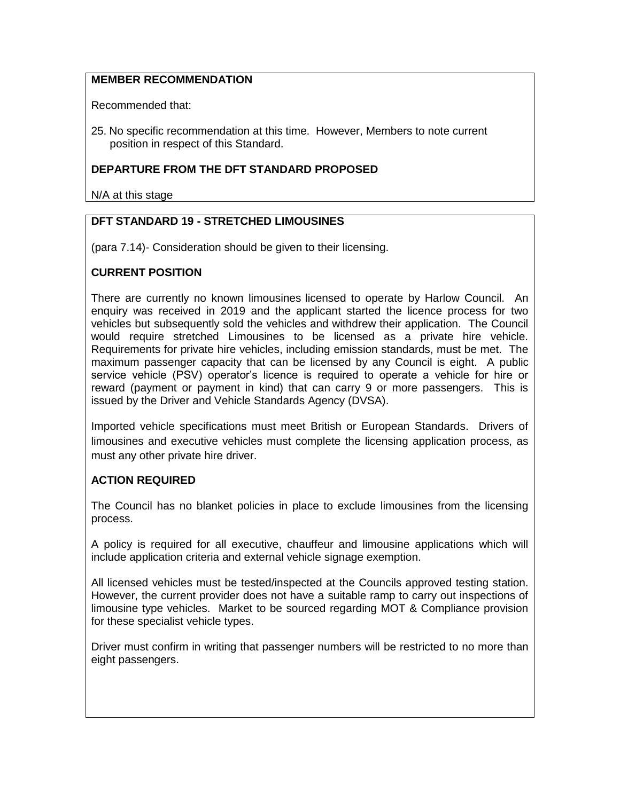### **MEMBER RECOMMENDATION**

Recommended that:

25. No specific recommendation at this time. However, Members to note current position in respect of this Standard.

#### **DEPARTURE FROM THE DFT STANDARD PROPOSED**

N/A at this stage

## **DFT STANDARD 19 - STRETCHED LIMOUSINES**

(para 7.14)- Consideration should be given to their licensing.

#### **CURRENT POSITION**

There are currently no known limousines licensed to operate by Harlow Council. An enquiry was received in 2019 and the applicant started the licence process for two vehicles but subsequently sold the vehicles and withdrew their application. The Council would require stretched Limousines to be licensed as a private hire vehicle. Requirements for private hire vehicles, including emission standards, must be met. The maximum passenger capacity that can be licensed by any Council is eight. A public service vehicle (PSV) operator's licence is required to operate a vehicle for hire or reward (payment or payment in kind) that can carry 9 or more passengers. This is issued by the Driver and Vehicle Standards Agency (DVSA).

Imported vehicle specifications must meet British or European Standards. Drivers of limousines and executive vehicles must complete the licensing application process, as must any other private hire driver.

### **ACTION REQUIRED**

The Council has no blanket policies in place to exclude limousines from the licensing process.

A policy is required for all executive, chauffeur and limousine applications which will include application criteria and external vehicle signage exemption.

All licensed vehicles must be tested/inspected at the Councils approved testing station. However, the current provider does not have a suitable ramp to carry out inspections of limousine type vehicles. Market to be sourced regarding MOT & Compliance provision for these specialist vehicle types.

Driver must confirm in writing that passenger numbers will be restricted to no more than eight passengers.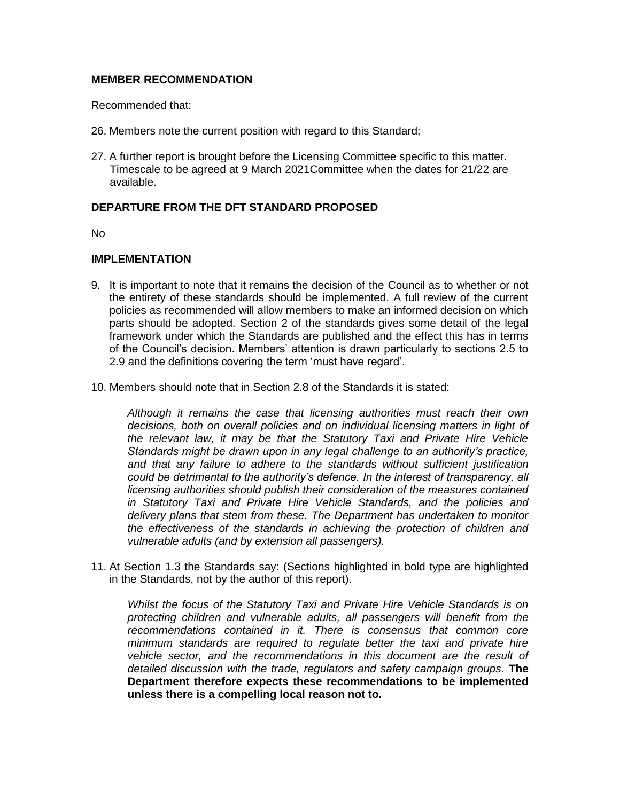## **MEMBER RECOMMENDATION**

Recommended that:

26. Members note the current position with regard to this Standard;

27. A further report is brought before the Licensing Committee specific to this matter. Timescale to be agreed at 9 March 2021Committee when the dates for 21/22 are available.

#### **DEPARTURE FROM THE DFT STANDARD PROPOSED**

No

#### **IMPLEMENTATION**

- 9. It is important to note that it remains the decision of the Council as to whether or not the entirety of these standards should be implemented. A full review of the current policies as recommended will allow members to make an informed decision on which parts should be adopted. Section 2 of the standards gives some detail of the legal framework under which the Standards are published and the effect this has in terms of the Council's decision. Members' attention is drawn particularly to sections 2.5 to 2.9 and the definitions covering the term 'must have regard'.
- 10. Members should note that in Section 2.8 of the Standards it is stated:

*Although it remains the case that licensing authorities must reach their own decisions, both on overall policies and on individual licensing matters in light of the relevant law, it may be that the Statutory Taxi and Private Hire Vehicle Standards might be drawn upon in any legal challenge to an authority's practice, and that any failure to adhere to the standards without sufficient justification could be detrimental to the authority's defence. In the interest of transparency, all licensing authorities should publish their consideration of the measures contained in Statutory Taxi and Private Hire Vehicle Standards, and the policies and delivery plans that stem from these. The Department has undertaken to monitor the effectiveness of the standards in achieving the protection of children and vulnerable adults (and by extension all passengers).* 

11. At Section 1.3 the Standards say: (Sections highlighted in bold type are highlighted in the Standards, not by the author of this report).

*Whilst the focus of the Statutory Taxi and Private Hire Vehicle Standards is on protecting children and vulnerable adults, all passengers will benefit from the recommendations contained in it. There is consensus that common core minimum standards are required to regulate better the taxi and private hire vehicle sector, and the recommendations in this document are the result of detailed discussion with the trade, regulators and safety campaign groups.* **The Department therefore expects these recommendations to be implemented unless there is a compelling local reason not to.**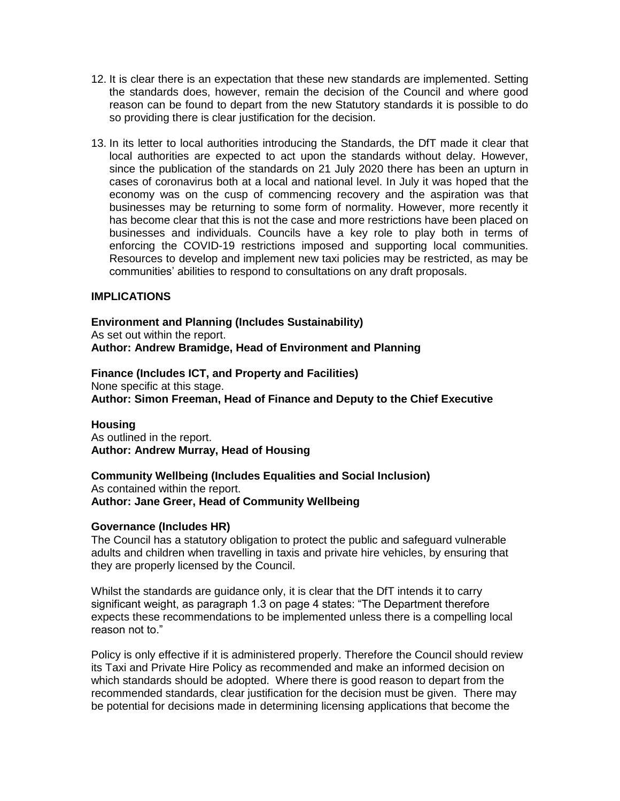- 12. It is clear there is an expectation that these new standards are implemented. Setting the standards does, however, remain the decision of the Council and where good reason can be found to depart from the new Statutory standards it is possible to do so providing there is clear justification for the decision.
- 13. In its letter to local authorities introducing the Standards, the DfT made it clear that local authorities are expected to act upon the standards without delay. However, since the publication of the standards on 21 July 2020 there has been an upturn in cases of coronavirus both at a local and national level. In July it was hoped that the economy was on the cusp of commencing recovery and the aspiration was that businesses may be returning to some form of normality. However, more recently it has become clear that this is not the case and more restrictions have been placed on businesses and individuals. Councils have a key role to play both in terms of enforcing the COVID-19 restrictions imposed and supporting local communities. Resources to develop and implement new taxi policies may be restricted, as may be communities' abilities to respond to consultations on any draft proposals.

#### **IMPLICATIONS**

**Environment and Planning (Includes Sustainability)** As set out within the report. **Author: Andrew Bramidge, Head of Environment and Planning**

**Finance (Includes ICT, and Property and Facilities)** None specific at this stage. **Author: Simon Freeman, Head of Finance and Deputy to the Chief Executive**

#### **Housing**

As outlined in the report. **Author: Andrew Murray, Head of Housing**

#### **Community Wellbeing (Includes Equalities and Social Inclusion)** As contained within the report.

**Author: Jane Greer, Head of Community Wellbeing**

#### **Governance (Includes HR)**

The Council has a statutory obligation to protect the public and safeguard vulnerable adults and children when travelling in taxis and private hire vehicles, by ensuring that they are properly licensed by the Council.

Whilst the standards are guidance only, it is clear that the DfT intends it to carry significant weight, as paragraph 1.3 on page 4 states: "The Department therefore expects these recommendations to be implemented unless there is a compelling local reason not to."

Policy is only effective if it is administered properly. Therefore the Council should review its Taxi and Private Hire Policy as recommended and make an informed decision on which standards should be adopted. Where there is good reason to depart from the recommended standards, clear justification for the decision must be given. There may be potential for decisions made in determining licensing applications that become the